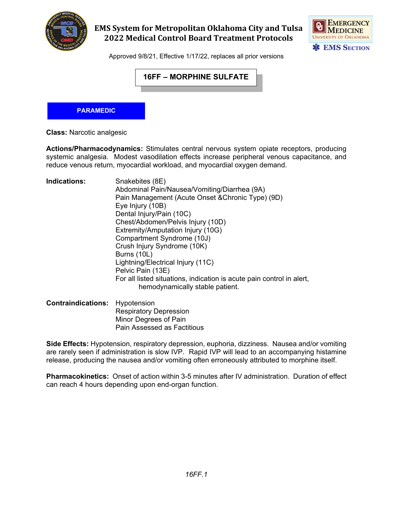

### **EMS System for Metropolitan Oklahoma City and Tulsa 2022 Medical Control Board Treatment Protocols**



Approved 9/8/21, Effective 1/17/22, replaces all prior versions

# **16FF – MORPHINE SULFATE**

#### **PARAMEDIC**

**Class:** Narcotic analgesic

**Actions/Pharmacodynamics:** Stimulates central nervous system opiate receptors, producing systemic analgesia. Modest vasodilation effects increase peripheral venous capacitance, and reduce venous return, myocardial workload, and myocardial oxygen demand.

**Indications:** Snakebites (8E) Abdominal Pain/Nausea/Vomiting/Diarrhea (9A) Pain Management (Acute Onset &Chronic Type) (9D) Eye Injury (10B) Dental Injury/Pain (10C) Chest/Abdomen/Pelvis Injury (10D) Extremity/Amputation Injury (10G) Compartment Syndrome (10J) Crush Injury Syndrome (10K) Burns (10L) Lightning/Electrical Injury (11C) Pelvic Pain (13E) For all listed situations, indication is acute pain control in alert, hemodynamically stable patient.

**Contraindications:** Hypotension Respiratory Depression Minor Degrees of Pain Pain Assessed as Factitious

**Side Effects:** Hypotension, respiratory depression, euphoria, dizziness. Nausea and/or vomiting are rarely seen if administration is slow IVP. Rapid IVP will lead to an accompanying histamine release, producing the nausea and/or vomiting often erroneously attributed to morphine itself.

**Pharmacokinetics:** Onset of action within 3-5 minutes after IV administration. Duration of effect can reach 4 hours depending upon end-organ function.